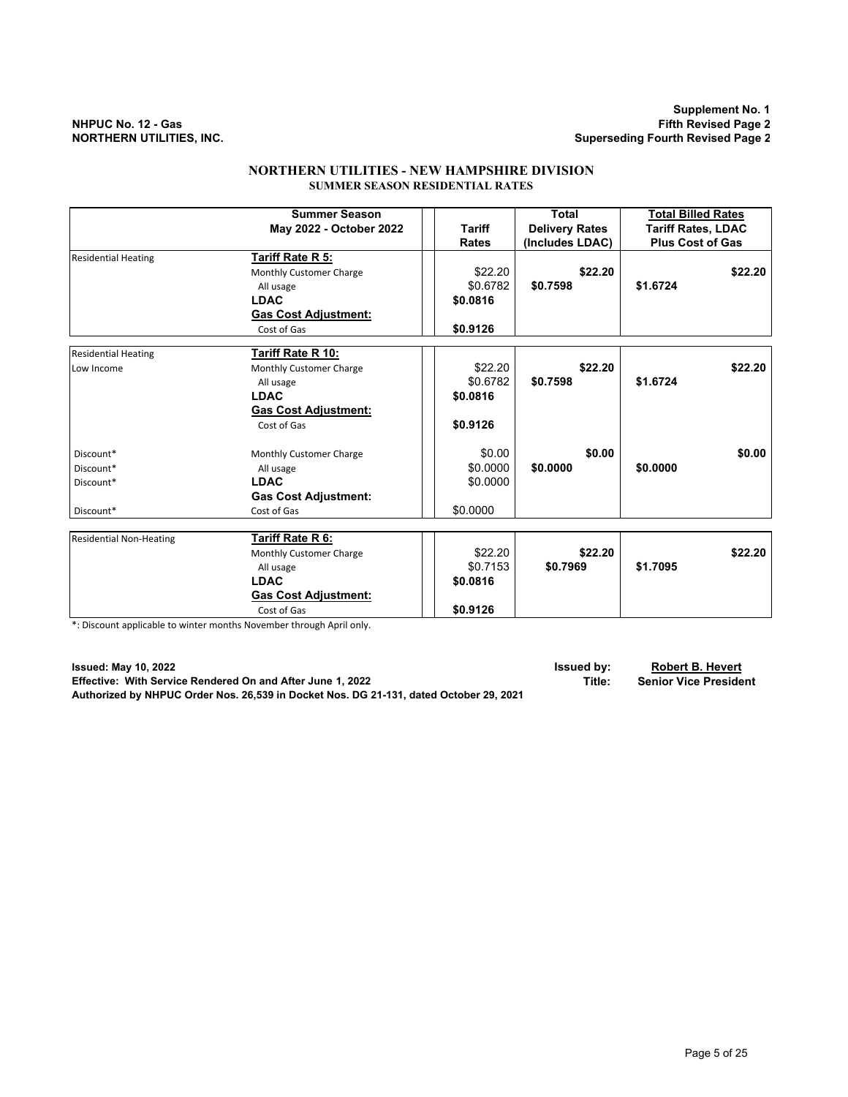**Supplement No. 1 NHPUC No. 12 - Gas Fifth Revised Page 2 Superseding Fourth Revised Page 2** 

# **NORTHERN UTILITIES - NEW HAMPSHIRE DIVISION SUMMER SEASON RESIDENTIAL RATES**

|                                | <b>Summer Season</b>        |               | Total                 | <b>Total Billed Rates</b> |
|--------------------------------|-----------------------------|---------------|-----------------------|---------------------------|
|                                | May 2022 - October 2022     | <b>Tariff</b> | <b>Delivery Rates</b> | <b>Tariff Rates, LDAC</b> |
|                                |                             | <b>Rates</b>  | (Includes LDAC)       | <b>Plus Cost of Gas</b>   |
| <b>Residential Heating</b>     | Tariff Rate R 5:            |               |                       |                           |
|                                | Monthly Customer Charge     | \$22.20       | \$22.20               | \$22.20                   |
|                                | All usage                   | \$0.6782      | \$0.7598              | \$1.6724                  |
|                                | <b>LDAC</b>                 | \$0.0816      |                       |                           |
|                                | <b>Gas Cost Adjustment:</b> |               |                       |                           |
|                                | Cost of Gas                 | \$0.9126      |                       |                           |
| <b>Residential Heating</b>     | Tariff Rate R 10:           |               |                       |                           |
| Low Income                     | Monthly Customer Charge     | \$22.20       | \$22.20               | \$22.20                   |
|                                | All usage                   | \$0.6782      | \$0.7598              | \$1.6724                  |
|                                | <b>LDAC</b>                 | \$0.0816      |                       |                           |
|                                | <b>Gas Cost Adjustment:</b> |               |                       |                           |
|                                | Cost of Gas                 | \$0.9126      |                       |                           |
| Discount*                      | Monthly Customer Charge     | \$0.00        | \$0.00                | \$0.00                    |
| Discount*                      | All usage                   | \$0.0000      | \$0.0000              | \$0.0000                  |
| Discount*                      | <b>LDAC</b>                 | \$0.0000      |                       |                           |
|                                | <b>Gas Cost Adjustment:</b> |               |                       |                           |
| Discount*                      | Cost of Gas                 | \$0.0000      |                       |                           |
| <b>Residential Non-Heating</b> | Tariff Rate R 6:            |               |                       |                           |
|                                | Monthly Customer Charge     | \$22.20       | \$22.20               | \$22.20                   |
|                                | All usage                   | \$0.7153      | \$0.7969              | \$1.7095                  |
|                                | <b>LDAC</b>                 | \$0.0816      |                       |                           |
|                                | <b>Gas Cost Adjustment:</b> |               |                       |                           |
|                                | Cost of Gas                 | \$0.9126      |                       |                           |

\*: Discount applicable to winter months November through April only.

**Issued: May 10, 2022 Issued by: Robert B. Hevert Effective: With Service Rendered On and After June 1, 2022 Authorized by NHPUC Order Nos. 26,539 in Docket Nos. DG 21-131, dated October 29, 2021**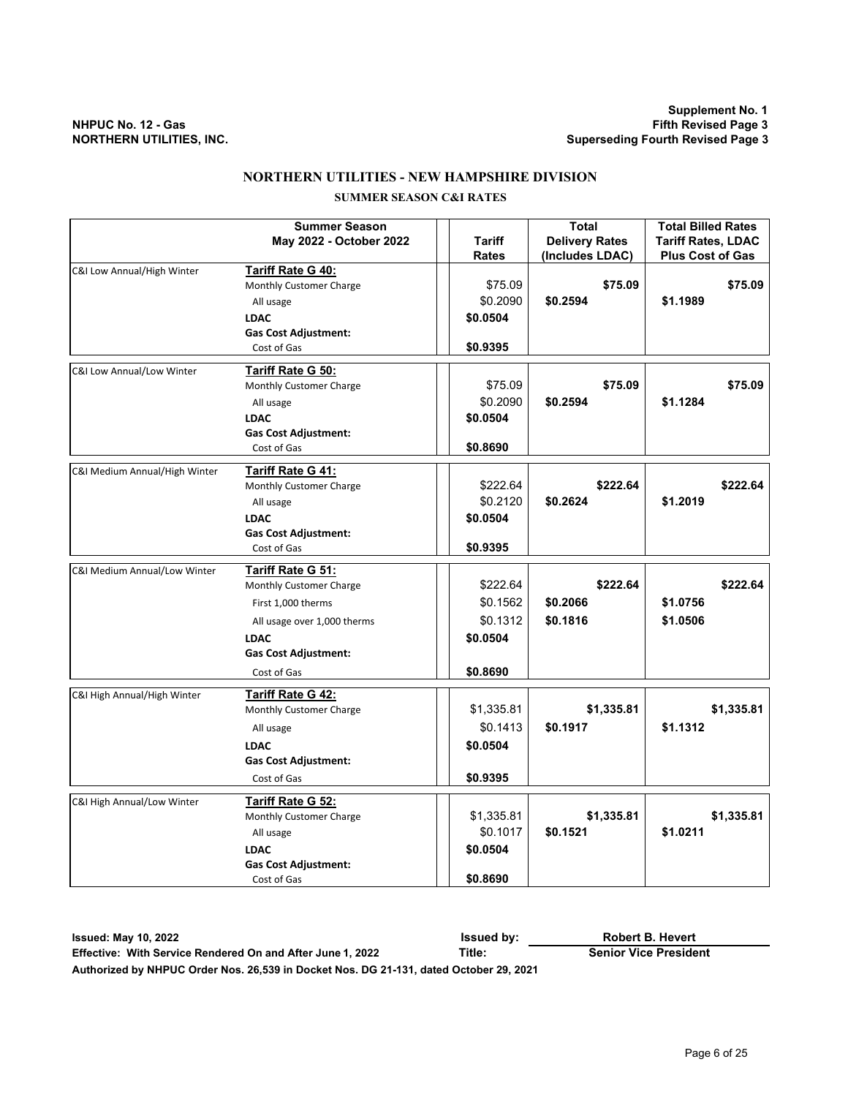# **NORTHERN UTILITIES - NEW HAMPSHIRE DIVISION**

# **SUMMER SEASON C&I RATES**

|                               | <b>Summer Season</b>                                |            | <b>Total</b>          | <b>Total Billed Rates</b> |
|-------------------------------|-----------------------------------------------------|------------|-----------------------|---------------------------|
|                               | May 2022 - October 2022                             | Tariff     | <b>Delivery Rates</b> | <b>Tariff Rates, LDAC</b> |
|                               |                                                     | Rates      | (Includes LDAC)       | <b>Plus Cost of Gas</b>   |
| C&I Low Annual/High Winter    | Tariff Rate G 40:                                   |            |                       |                           |
|                               | Monthly Customer Charge                             | \$75.09    | \$75.09               | \$75.09                   |
|                               | All usage                                           | \$0.2090   | \$0.2594              | \$1.1989                  |
|                               | <b>LDAC</b>                                         | \$0.0504   |                       |                           |
|                               | <b>Gas Cost Adjustment:</b>                         |            |                       |                           |
|                               | Cost of Gas                                         | \$0.9395   |                       |                           |
| C&I Low Annual/Low Winter     | <b>Tariff Rate G 50:</b>                            |            |                       |                           |
|                               | Monthly Customer Charge                             | \$75.09    | \$75.09               | \$75.09                   |
|                               | All usage                                           | \$0.2090   | \$0.2594              | \$1.1284                  |
|                               | <b>LDAC</b>                                         | \$0.0504   |                       |                           |
|                               | <b>Gas Cost Adjustment:</b>                         |            |                       |                           |
|                               | Cost of Gas                                         | \$0.8690   |                       |                           |
| C&I Medium Annual/High Winter | Tariff Rate G 41:                                   |            |                       |                           |
|                               | Monthly Customer Charge                             | \$222.64   | \$222.64              | \$222.64                  |
|                               | All usage                                           | \$0.2120   | \$0.2624              | \$1.2019                  |
|                               | <b>LDAC</b>                                         | \$0.0504   |                       |                           |
|                               | <b>Gas Cost Adjustment:</b>                         |            |                       |                           |
|                               | Cost of Gas                                         | \$0.9395   |                       |                           |
|                               |                                                     |            |                       |                           |
| C&I Medium Annual/Low Winter  | Tariff Rate G 51:                                   |            |                       |                           |
|                               | Monthly Customer Charge                             | \$222.64   | \$222.64              | \$222.64                  |
|                               | First 1,000 therms                                  | \$0.1562   | \$0.2066              | \$1.0756                  |
|                               | All usage over 1,000 therms                         | \$0.1312   | \$0.1816              | \$1.0506                  |
|                               | <b>LDAC</b>                                         | \$0.0504   |                       |                           |
|                               | <b>Gas Cost Adjustment:</b>                         |            |                       |                           |
|                               | Cost of Gas                                         | \$0.8690   |                       |                           |
|                               |                                                     |            |                       |                           |
| C&I High Annual/High Winter   | <b>Tariff Rate G 42:</b><br>Monthly Customer Charge | \$1,335.81 | \$1,335.81            | \$1,335.81                |
|                               |                                                     |            |                       |                           |
|                               | All usage                                           | \$0.1413   | \$0.1917              | \$1.1312                  |
|                               | <b>LDAC</b>                                         | \$0.0504   |                       |                           |
|                               | <b>Gas Cost Adjustment:</b>                         |            |                       |                           |
|                               | Cost of Gas                                         | \$0.9395   |                       |                           |
| C&I High Annual/Low Winter    | <b>Tariff Rate G 52:</b>                            |            |                       |                           |
|                               | Monthly Customer Charge                             | \$1,335.81 | \$1,335.81            | \$1,335.81                |
|                               | All usage                                           | \$0.1017   | \$0.1521              | \$1.0211                  |
|                               | <b>LDAC</b>                                         | \$0.0504   |                       |                           |
|                               | <b>Gas Cost Adjustment:</b>                         |            |                       |                           |
|                               | Cost of Gas                                         | \$0.8690   |                       |                           |

**Issued: May 10, 2022 Issued by: Effective: With Service Rendered On and After June 1, 2022 Title: Senior Vice President Authorized by NHPUC Order Nos. 26,539 in Docket Nos. DG 21-131, dated October 29, 2021 Robert B. Hevert**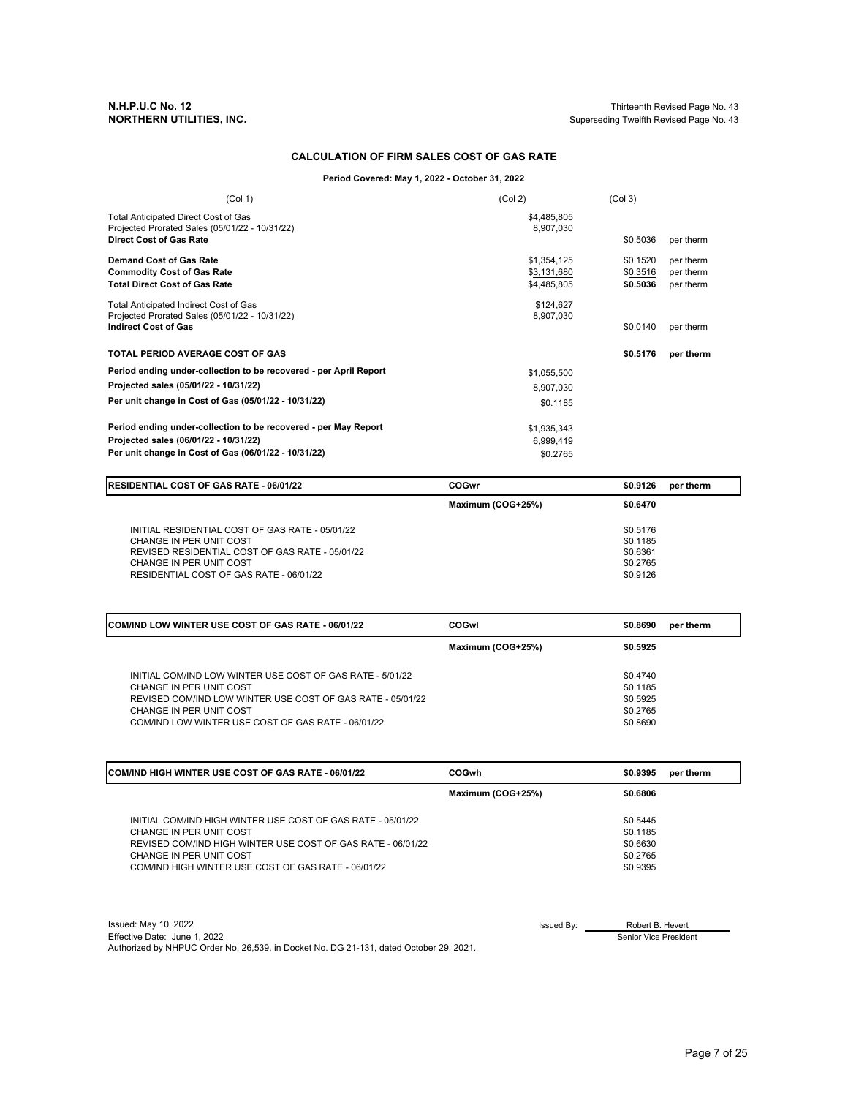**N.H.P.U.C No. 12** Thirteenth Revised Page No. 43 Superseding Twelfth Revised Page No. 43

### **CALCULATION OF FIRM SALES COST OF GAS RATE**

**Period Covered: May 1, 2022 - October 31, 2022**

| (Col 1)                                                                                | (Col 2)                  | (Col <sub>3</sub> ) |           |
|----------------------------------------------------------------------------------------|--------------------------|---------------------|-----------|
| Total Anticipated Direct Cost of Gas<br>Projected Prorated Sales (05/01/22 - 10/31/22) | \$4,485,805<br>8,907,030 |                     |           |
| <b>Direct Cost of Gas Rate</b>                                                         |                          | \$0.5036            | per therm |
| Demand Cost of Gas Rate                                                                | \$1,354,125              | \$0.1520            | per therm |
| <b>Commodity Cost of Gas Rate</b>                                                      | \$3,131,680              | \$0.3516            | per therm |
| <b>Total Direct Cost of Gas Rate</b>                                                   | \$4,485,805              | \$0.5036            | per therm |
| Total Anticipated Indirect Cost of Gas                                                 | \$124,627                |                     |           |
| Projected Prorated Sales (05/01/22 - 10/31/22)                                         | 8,907,030                |                     |           |
| <b>Indirect Cost of Gas</b>                                                            |                          | \$0.0140            | per therm |
| <b>TOTAL PERIOD AVERAGE COST OF GAS</b>                                                |                          | \$0.5176            | per therm |
| Period ending under-collection to be recovered - per April Report                      | \$1,055,500              |                     |           |
| Projected sales (05/01/22 - 10/31/22)                                                  | 8,907,030                |                     |           |
| Per unit change in Cost of Gas (05/01/22 - 10/31/22)                                   | \$0.1185                 |                     |           |
| Period ending under-collection to be recovered - per May Report                        | \$1,935,343              |                     |           |
| Projected sales (06/01/22 - 10/31/22)                                                  | 6,999,419                |                     |           |
| Per unit change in Cost of Gas (06/01/22 - 10/31/22)                                   | \$0.2765                 |                     |           |

| <b>RESIDENTIAL COST OF GAS RATE - 06/01/22</b>                             | COGwr             | \$0.9126             | per therm |
|----------------------------------------------------------------------------|-------------------|----------------------|-----------|
|                                                                            | Maximum (COG+25%) | \$0.6470             |           |
| INITIAL RESIDENTIAL COST OF GAS RATE - 05/01/22                            |                   | \$0.5176             |           |
| CHANGE IN PER UNIT COST<br>REVISED RESIDENTIAL COST OF GAS RATE - 05/01/22 |                   | \$0.1185<br>\$0.6361 |           |
| CHANGE IN PER UNIT COST<br>RESIDENTIAL COST OF GAS RATE - 06/01/22         |                   | \$0,2765<br>\$0.9126 |           |

| <b>COM/IND LOW WINTER USE COST OF GAS RATE - 06/01/22</b>                                                                                                                     | COGwl             | \$0.8690                                     | per therm |
|-------------------------------------------------------------------------------------------------------------------------------------------------------------------------------|-------------------|----------------------------------------------|-----------|
|                                                                                                                                                                               | Maximum (COG+25%) | \$0.5925                                     |           |
| INITIAL COM/IND LOW WINTER USE COST OF GAS RATE - 5/01/22<br>CHANGE IN PER UNIT COST<br>REVISED COM/IND LOW WINTER USE COST OF GAS RATE - 05/01/22<br>CHANGE IN PER UNIT COST |                   | \$0,4740<br>\$0.1185<br>\$0.5925<br>\$0,2765 |           |
| COM/IND LOW WINTER USE COST OF GAS RATE - 06/01/22                                                                                                                            |                   | \$0.8690                                     |           |

| <b>COM/IND HIGH WINTER USE COST OF GAS RATE - 06/01/22</b>                                                                                                                                                                              | <b>COGwh</b>      | \$0,9395                                                 | per therm |
|-----------------------------------------------------------------------------------------------------------------------------------------------------------------------------------------------------------------------------------------|-------------------|----------------------------------------------------------|-----------|
|                                                                                                                                                                                                                                         | Maximum (COG+25%) | \$0.6806                                                 |           |
| INITIAL COM/IND HIGH WINTER USE COST OF GAS RATE - 05/01/22<br>CHANGE IN PER UNIT COST<br>REVISED COM/IND HIGH WINTER USE COST OF GAS RATE - 06/01/22<br>CHANGE IN PER UNIT COST<br>COM/IND HIGH WINTER USE COST OF GAS RATE - 06/01/22 |                   | \$0.5445<br>\$0.1185<br>\$0.6630<br>\$0.2765<br>\$0.9395 |           |

 $Isu$ ed: May 10, 2022 Issued By:  $\overline{\phantom{a}}$ Effective Date: June 1, 2022 Authorized by NHPUC Order No. 26,539, in Docket No. DG 21-131, dated October 29, 2021.

Senior Vice President

Robert B. Hevert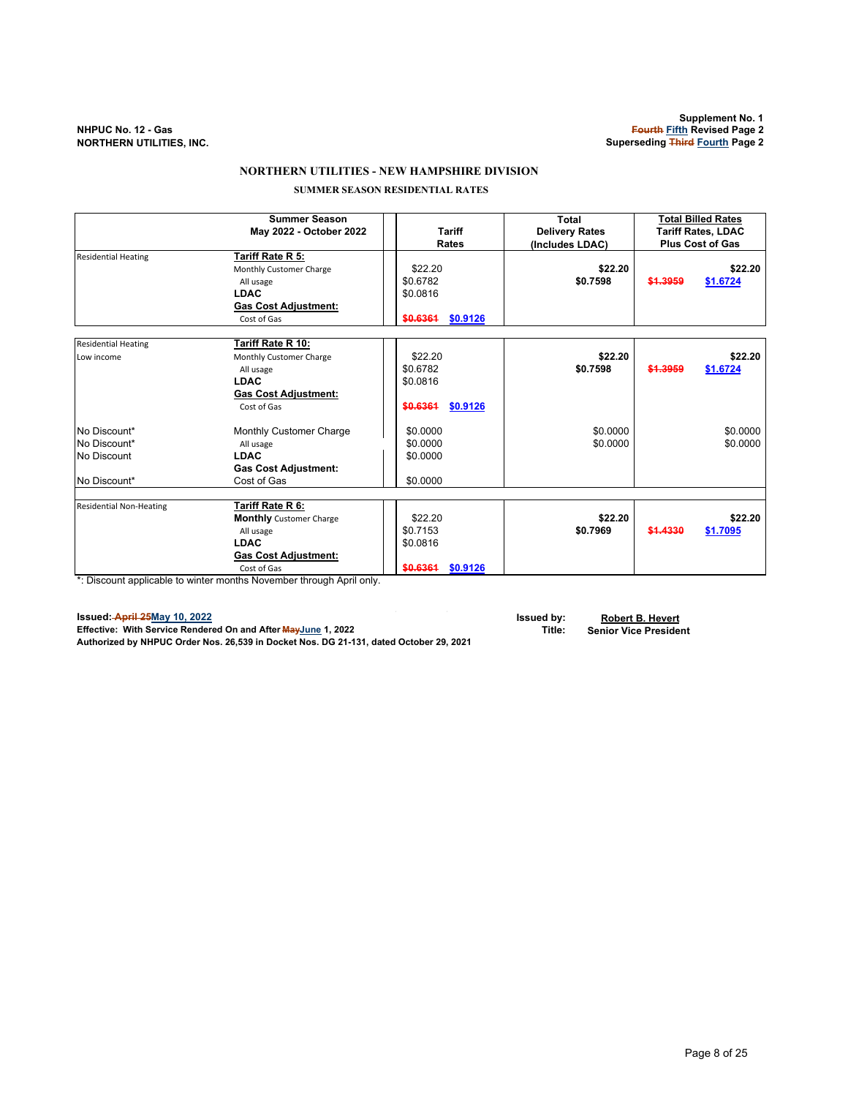## **NORTHERN UTILITIES - NEW HAMPSHIRE DIVISION**

 **SUMMER SEASON RESIDENTIAL RATES**

|                                                             | <b>Summer Season</b><br>May 2022 - October 2022                                                                                                                                                     | <b>Tariff</b><br>Rates                                  | Total<br><b>Delivery Rates</b><br>(Includes LDAC) |          | <b>Total Billed Rates</b><br><b>Tariff Rates, LDAC</b><br><b>Plus Cost of Gas</b> |
|-------------------------------------------------------------|-----------------------------------------------------------------------------------------------------------------------------------------------------------------------------------------------------|---------------------------------------------------------|---------------------------------------------------|----------|-----------------------------------------------------------------------------------|
| <b>Residential Heating</b>                                  | Tariff Rate R 5:<br>Monthly Customer Charge<br>All usage<br><b>LDAC</b><br><b>Gas Cost Adjustment:</b><br>Cost of Gas                                                                               | \$22.20<br>\$0.6782<br>\$0.0816<br>\$0.9126<br>\$0.6361 | \$22.20<br>\$0.7598                               | \$1,3959 | \$22.20<br>\$1.6724                                                               |
| <b>Residential Heating</b><br>Low income                    | Tariff Rate R 10:<br>Monthly Customer Charge<br>All usage<br><b>LDAC</b><br><b>Gas Cost Adjustment:</b><br>Cost of Gas                                                                              | \$22.20<br>\$0.6782<br>\$0.0816<br>\$0.6361<br>\$0.9126 | \$22.20<br>\$0.7598                               | \$1,3959 | \$22.20<br>\$1.6724                                                               |
| No Discount*<br>No Discount*<br>No Discount<br>No Discount* | <b>Monthly Customer Charge</b><br>All usage<br><b>LDAC</b><br><b>Gas Cost Adjustment:</b><br>Cost of Gas                                                                                            | \$0.0000<br>\$0.0000<br>\$0.0000<br>\$0.0000            | \$0.0000<br>\$0.0000                              |          | \$0.0000<br>\$0.0000                                                              |
| <b>Residential Non-Heating</b>                              | Tariff Rate R 6:<br><b>Monthly</b> Customer Charge<br>All usage<br><b>LDAC</b><br><b>Gas Cost Adjustment:</b><br>Cost of Gas<br>*: Discount applicable to winter menths November through April only | \$22.20<br>\$0.7153<br>\$0.0816<br>\$0.6361<br>\$0,9126 | \$22.20<br>\$0.7969                               | \$1,4330 | \$22.20<br>\$1.7095                                                               |

\*: Discount applicable to winter months November through April only.

**Issued: April 25May 10, 2022 Issued by: Robert B. Hevert Effective: With Service Rendered On and After MayJune 1, 2022 Title: Senior Vice President Authorized by NHPUC Order Nos. 26,539 in Docket Nos. DG 21-131, dated October 29, 2021**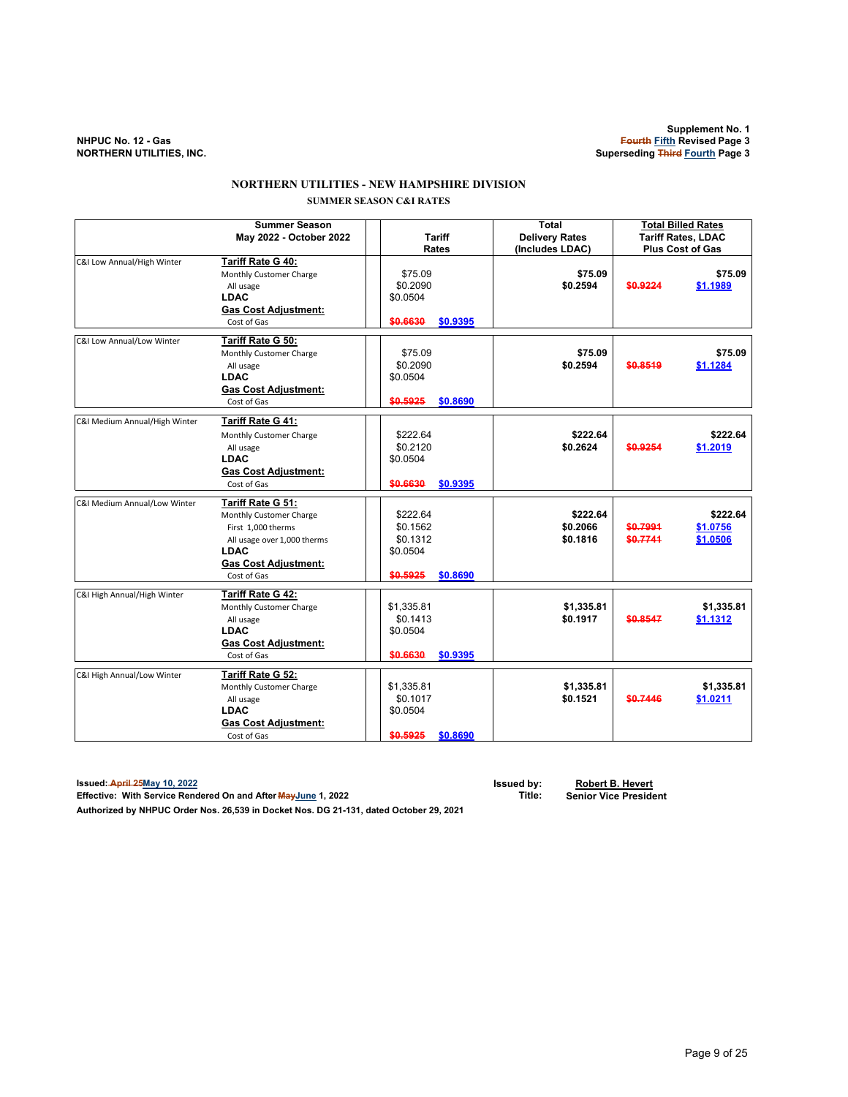# **NORTHERN UTILITIES - NEW HAMPSHIRE DIVISION SUMMER SEASON C&I RATES**

|                               | <b>Summer Season</b><br>May 2022 - October 2022                                                                                                                | <b>Tariff</b>                                                        | <b>Total</b><br><b>Delivery Rates</b> | <b>Total Billed Rates</b><br><b>Tariff Rates, LDAC</b> |            |
|-------------------------------|----------------------------------------------------------------------------------------------------------------------------------------------------------------|----------------------------------------------------------------------|---------------------------------------|--------------------------------------------------------|------------|
|                               |                                                                                                                                                                | <b>Rates</b>                                                         | (Includes LDAC)                       | <b>Plus Cost of Gas</b>                                |            |
| C&I Low Annual/High Winter    | Tariff Rate G 40:<br>Monthly Customer Charge<br>All usage<br><b>LDAC</b><br><b>Gas Cost Adjustment:</b><br>Cost of Gas                                         | \$75.09<br>\$0.2090<br>\$0.0504<br>\$0.6630<br>\$0.9395              | \$75.09<br>\$0.2594                   | \$0.9224<br>\$1.1989                                   | \$75.09    |
| C&I Low Annual/Low Winter     | Tariff Rate G 50:<br>Monthly Customer Charge<br>All usage<br><b>LDAC</b><br><b>Gas Cost Adjustment:</b><br>Cost of Gas                                         | \$75.09<br>\$0.2090<br>\$0.0504<br>\$0.5925<br>\$0.8690              | \$75.09<br>\$0.2594                   | \$0.8519<br>\$1.1284                                   | \$75.09    |
| C&I Medium Annual/High Winter | Tariff Rate G 41:<br>Monthly Customer Charge<br>All usage<br><b>LDAC</b><br><b>Gas Cost Adjustment:</b><br>Cost of Gas                                         | \$222.64<br>\$0.2120<br>\$0.0504<br>\$0.6630<br>\$0.9395             | \$222.64<br>\$0.2624                  | \$0.9254<br>\$1.2019                                   | \$222.64   |
| C&I Medium Annual/Low Winter  | Tariff Rate G 51:<br>Monthly Customer Charge<br>First 1,000 therms<br>All usage over 1,000 therms<br><b>LDAC</b><br><b>Gas Cost Adjustment:</b><br>Cost of Gas | \$222.64<br>\$0.1562<br>\$0.1312<br>\$0.0504<br>\$0.5925<br>\$0.8690 | \$222.64<br>\$0.2066<br>\$0.1816      | \$0,7991<br>\$1.0756<br>\$0.7741<br>\$1.0506           | \$222.64   |
| C&I High Annual/High Winter   | Tariff Rate G 42:<br>Monthly Customer Charge<br>All usage<br><b>LDAC</b><br><b>Gas Cost Adjustment:</b><br>Cost of Gas                                         | \$1,335.81<br>\$0.1413<br>\$0.0504<br>\$0.6630<br>\$0.9395           | \$1,335.81<br>\$0.1917                | \$0.8547<br>\$1.1312                                   | \$1,335.81 |
| C&I High Annual/Low Winter    | Tariff Rate G 52:<br>Monthly Customer Charge<br>All usage<br><b>LDAC</b><br><b>Gas Cost Adjustment:</b><br>Cost of Gas                                         | \$1,335.81<br>\$0.1017<br>\$0.0504<br>\$0.5925<br>\$0.8690           | \$1,335.81<br>\$0.1521                | \$0.7446<br>\$1.0211                                   | \$1,335.81 |

**Issued: April 25May 10, 2022 Issued by: Robert B. Hevert Effective: With Service Rendered On and After MayJune 1, 2022 Title: Senior Vice President**

**Authorized by NHPUC Order Nos. 26,539 in Docket Nos. DG 21-131, dated October 29, 2021**